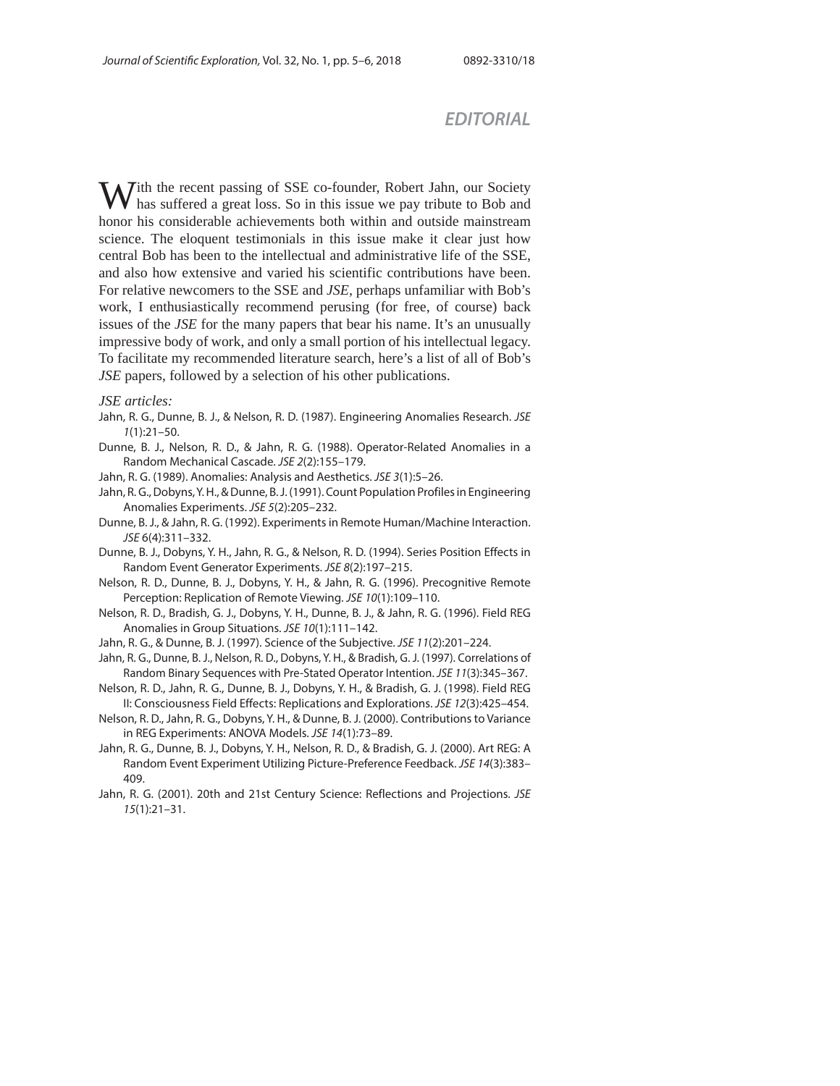## *EDITORIAL*

With the recent passing of SSE co-founder, Robert Jahn, our Society If has suffered a great loss. So in this issue we pay tribute to Bob and honor his considerable achievements both within and outside mainstream science. The eloquent testimonials in this issue make it clear just how central Bob has been to the intellectual and administrative life of the SSE, and also how extensive and varied his scientific contributions have been. For relative newcomers to the SSE and *JSE*, perhaps unfamiliar with Bob's work, I enthusiastically recommend perusing (for free, of course) back issues of the *JSE* for the many papers that bear his name. It's an unusually impressive body of work, and only a small portion of his intellectual legacy. To facilitate my recommended literature search, here's a list of all of Bob's *JSE* papers, followed by a selection of his other publications.

## *JSE articles:*

- Jahn, R. G., Dunne, B. J., & Nelson, R. D. (1987). Engineering Anomalies Research. JSE  $1(1):21-50.$
- Dunne, B. J., Nelson, R. D., & Jahn, R. G. (1988). Operator-Related Anomalies in a Random Mechanical Cascade. JSE 2(2):155–179.
- Jahn, R. G. (1989). Anomalies: Analysis and Aesthetics. JSE 3(1):5–26.
- Jahn, R. G., Dobyns, Y. H., & Dunne, B. J. (1991). Count Population Profiles in Engineering Anomalies Experiments. JSE 5(2):205–232.
- Dunne, B. J., & Jahn, R. G. (1992). Experiments in Remote Human/Machine Interaction. JSE 6(4):311–332.
- Dunne, B. J., Dobyns, Y. H., Jahn, R. G., & Nelson, R. D. (1994). Series Position Effects in Random Event Generator Experiments. JSE 8(2):197–215.
- Nelson, R. D., Dunne, B. J., Dobyns, Y. H., & Jahn, R. G. (1996). Precognitive Remote Perception: Replication of Remote Viewing. JSE 10(1):109–110.
- Nelson, R. D., Bradish, G. J., Dobyns, Y. H., Dunne, B. J., & Jahn, R. G. (1996). Field REG Anomalies in Group Situations. JSE 10(1):111–142.
- Jahn, R. G., & Dunne, B. J. (1997). Science of the Subjective. JSE 11(2):201–224.
- Jahn, R. G., Dunne, B. J., Nelson, R. D., Dobyns, Y. H., & Bradish, G. J. (1997). Correlations of Random Binary Sequences with Pre-Stated Operator Intention. JSE 11(3):345–367.
- Nelson, R. D., Jahn, R. G., Dunne, B. J., Dobyns, Y. H., & Bradish, G. J. (1998). Field REG II: Consciousness Field Effects: Replications and Explorations. JSE 12(3):425–454.
- Nelson, R. D., Jahn, R. G., Dobyns, Y. H., & Dunne, B. J. (2000). Contributions to Variance in REG Experiments: ANOVA Models. JSE 14(1):73–89.
- Jahn, R. G., Dunne, B. J., Dobyns, Y. H., Nelson, R. D., & Bradish, G. J. (2000). Art REG: A Random Event Experiment Utilizing Picture-Preference Feedback. JSE 14(3):383– 409.
- Jahn, R. G. (2001). 20th and 21st Century Science: Reflections and Projections. JSE 15(1):21–31.